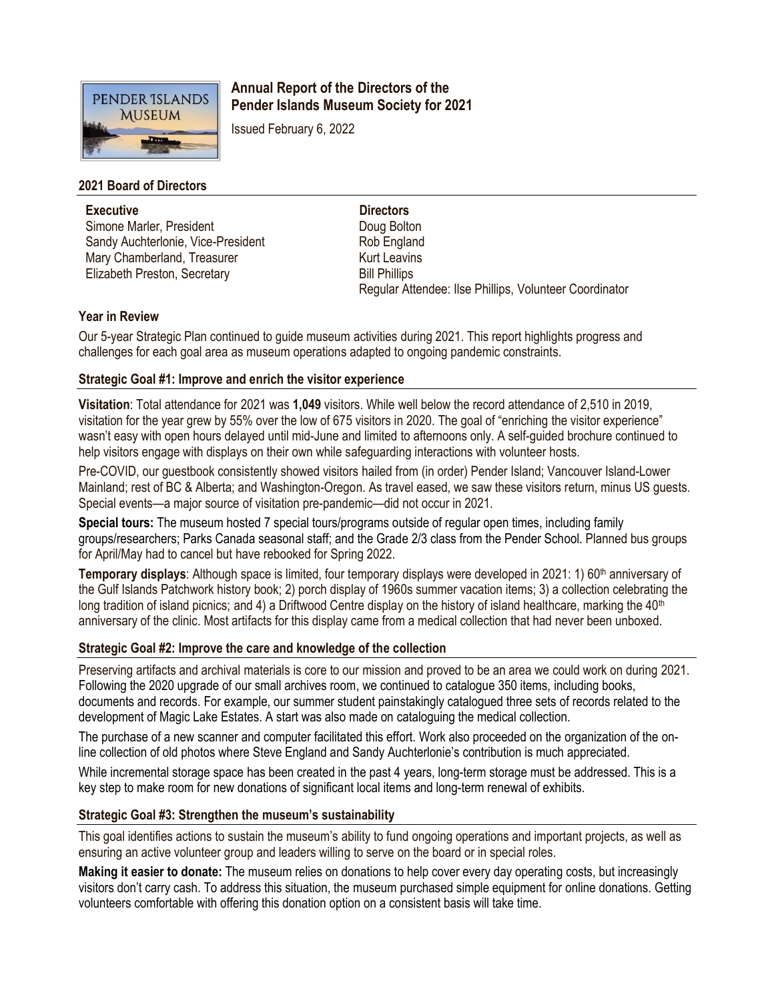

# **Annual Report of the Directors of the Pender Islands Museum Society for 2021**

Issued February 6, 2022

## **2021 Board of Directors**

**Executive** Simone Marler, President Sandy Auchterlonie, Vice-President Mary Chamberland, Treasurer Elizabeth Preston, Secretary

**Directors** Doug Bolton Rob England Kurt Leavins Bill Phillips Regular Attendee: Ilse Phillips, Volunteer Coordinator

### **Year in Review**

Our 5-year Strategic Plan continued to guide museum activities during 2021. This report highlights progress and challenges for each goal area as museum operations adapted to ongoing pandemic constraints.

## **Strategic Goal #1: Improve and enrich the visitor experience**

**Visitation**: Total attendance for 2021 was **1,049** visitors. While well below the record attendance of 2,510 in 2019, visitation for the year grew by 55% over the low of 675 visitors in 2020. The goal of "enriching the visitor experience" wasn't easy with open hours delayed until mid-June and limited to afternoons only. A self-guided brochure continued to help visitors engage with displays on their own while safeguarding interactions with volunteer hosts.

Pre-COVID, our guestbook consistently showed visitors hailed from (in order) Pender Island; Vancouver Island-Lower Mainland; rest of BC & Alberta; and Washington-Oregon. As travel eased, we saw these visitors return, minus US guests. Special events—a major source of visitation pre-pandemic—did not occur in 2021.

**Special tours:** The museum hosted 7 special tours/programs outside of regular open times, including family groups/researchers; Parks Canada seasonal staff; and the Grade 2/3 class from the Pender School. Planned bus groups for April/May had to cancel but have rebooked for Spring 2022.

**Temporary displays:** Although space is limited, four temporary displays were developed in 2021: 1) 60<sup>th</sup> anniversary of the Gulf Islands Patchwork history book; 2) porch display of 1960s summer vacation items; 3) a collection celebrating the long tradition of island picnics; and 4) a Driftwood Centre display on the history of island healthcare, marking the 40<sup>th</sup> anniversary of the clinic. Most artifacts for this display came from a medical collection that had never been unboxed.

### **Strategic Goal #2: Improve the care and knowledge of the collection**

Preserving artifacts and archival materials is core to our mission and proved to be an area we could work on during 2021. Following the 2020 upgrade of our small archives room, we continued to catalogue 350 items, including books, documents and records. For example, our summer student painstakingly catalogued three sets of records related to the development of Magic Lake Estates. A start was also made on cataloguing the medical collection.

The purchase of a new scanner and computer facilitated this effort. Work also proceeded on the organization of the online collection of old photos where Steve England and Sandy Auchterlonie's contribution is much appreciated.

While incremental storage space has been created in the past 4 years, long-term storage must be addressed. This is a key step to make room for new donations of significant local items and long-term renewal of exhibits.

## **Strategic Goal #3: Strengthen the museum's sustainability**

This goal identifies actions to sustain the museum's ability to fund ongoing operations and important projects, as well as ensuring an active volunteer group and leaders willing to serve on the board or in special roles.

**Making it easier to donate:** The museum relies on donations to help cover every day operating costs, but increasingly visitors don't carry cash. To address this situation, the museum purchased simple equipment for online donations. Getting volunteers comfortable with offering this donation option on a consistent basis will take time.